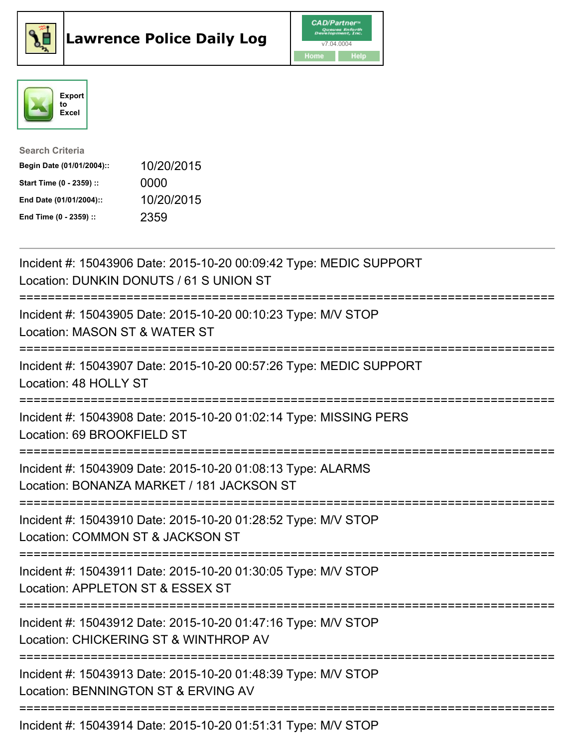





| <b>Search Criteria</b>    |            |
|---------------------------|------------|
| Begin Date (01/01/2004):: | 10/20/2015 |
| Start Time (0 - 2359) ::  | 0000       |
| End Date (01/01/2004)::   | 10/20/2015 |
| End Time (0 - 2359) ::    | 2359       |

| Incident #: 15043906 Date: 2015-10-20 00:09:42 Type: MEDIC SUPPORT<br>Location: DUNKIN DONUTS / 61 S UNION ST                               |
|---------------------------------------------------------------------------------------------------------------------------------------------|
| Incident #: 15043905 Date: 2015-10-20 00:10:23 Type: M/V STOP<br>Location: MASON ST & WATER ST<br>========                                  |
| Incident #: 15043907 Date: 2015-10-20 00:57:26 Type: MEDIC SUPPORT<br>Location: 48 HOLLY ST                                                 |
| Incident #: 15043908 Date: 2015-10-20 01:02:14 Type: MISSING PERS<br>Location: 69 BROOKFIELD ST<br>==============                           |
| Incident #: 15043909 Date: 2015-10-20 01:08:13 Type: ALARMS<br>Location: BONANZA MARKET / 181 JACKSON ST<br>.============================== |
| Incident #: 15043910 Date: 2015-10-20 01:28:52 Type: M/V STOP<br>Location: COMMON ST & JACKSON ST                                           |
| Incident #: 15043911 Date: 2015-10-20 01:30:05 Type: M/V STOP<br>Location: APPLETON ST & ESSEX ST                                           |
| Incident #: 15043912 Date: 2015-10-20 01:47:16 Type: M/V STOP<br>Location: CHICKERING ST & WINTHROP AV<br>================================  |
| Incident #: 15043913 Date: 2015-10-20 01:48:39 Type: M/V STOP<br>Location: BENNINGTON ST & ERVING AV                                        |
| Incident #: 15043914 Date: 2015-10-20 01:51:31 Type: M/V STOP                                                                               |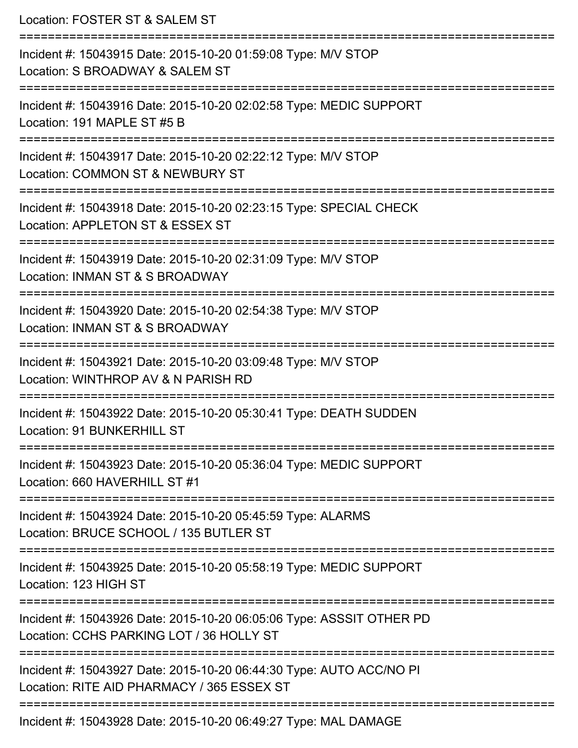Location: FOSTER ST & SALEM ST =========================================================================== Incident #: 15043915 Date: 2015-10-20 01:59:08 Type: M/V STOP Location: S BROADWAY & SALEM ST =========================================================================== Incident #: 15043916 Date: 2015-10-20 02:02:58 Type: MEDIC SUPPORT Location: 191 MAPLE ST #5 B =========================================================================== Incident #: 15043917 Date: 2015-10-20 02:22:12 Type: M/V STOP Location: COMMON ST & NEWBURY ST =========================================================================== Incident #: 15043918 Date: 2015-10-20 02:23:15 Type: SPECIAL CHECK Location: APPLETON ST & ESSEX ST =========================================================================== Incident #: 15043919 Date: 2015-10-20 02:31:09 Type: M/V STOP Location: INMAN ST & S BROADWAY =========================================================================== Incident #: 15043920 Date: 2015-10-20 02:54:38 Type: M/V STOP Location: INMAN ST & S BROADWAY =========================================================================== Incident #: 15043921 Date: 2015-10-20 03:09:48 Type: M/V STOP Location: WINTHROP AV & N PARISH RD =========================================================================== Incident #: 15043922 Date: 2015-10-20 05:30:41 Type: DEATH SUDDEN Location: 91 BUNKERHILL ST =========================================================================== Incident #: 15043923 Date: 2015-10-20 05:36:04 Type: MEDIC SUPPORT Location: 660 HAVERHILL ST #1 =========================================================================== Incident #: 15043924 Date: 2015-10-20 05:45:59 Type: ALARMS Location: BRUCE SCHOOL / 135 BUTLER ST =========================================================================== Incident #: 15043925 Date: 2015-10-20 05:58:19 Type: MEDIC SUPPORT Location: 123 HIGH ST =========================================================================== Incident #: 15043926 Date: 2015-10-20 06:05:06 Type: ASSSIT OTHER PD Location: CCHS PARKING LOT / 36 HOLLY ST =========================================================================== Incident #: 15043927 Date: 2015-10-20 06:44:30 Type: AUTO ACC/NO PI Location: RITE AID PHARMACY / 365 ESSEX ST =========================================================================== Incident #: 15043928 Date: 2015-10-20 06:49:27 Type: MAL DAMAGE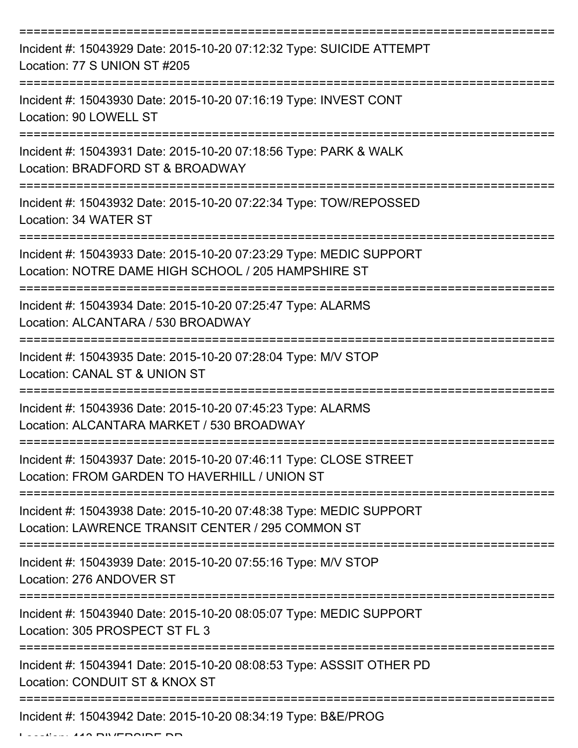| Incident #: 15043929 Date: 2015-10-20 07:12:32 Type: SUICIDE ATTEMPT<br>Location: 77 S UNION ST #205                      |
|---------------------------------------------------------------------------------------------------------------------------|
| Incident #: 15043930 Date: 2015-10-20 07:16:19 Type: INVEST CONT<br>Location: 90 LOWELL ST                                |
| Incident #: 15043931 Date: 2015-10-20 07:18:56 Type: PARK & WALK<br>Location: BRADFORD ST & BROADWAY                      |
| Incident #: 15043932 Date: 2015-10-20 07:22:34 Type: TOW/REPOSSED<br>Location: 34 WATER ST                                |
| Incident #: 15043933 Date: 2015-10-20 07:23:29 Type: MEDIC SUPPORT<br>Location: NOTRE DAME HIGH SCHOOL / 205 HAMPSHIRE ST |
| Incident #: 15043934 Date: 2015-10-20 07:25:47 Type: ALARMS<br>Location: ALCANTARA / 530 BROADWAY                         |
| Incident #: 15043935 Date: 2015-10-20 07:28:04 Type: M/V STOP<br>Location: CANAL ST & UNION ST                            |
| Incident #: 15043936 Date: 2015-10-20 07:45:23 Type: ALARMS<br>Location: ALCANTARA MARKET / 530 BROADWAY                  |
| Incident #: 15043937 Date: 2015-10-20 07:46:11 Type: CLOSE STREET<br>Location: FROM GARDEN TO HAVERHILL / UNION ST        |
| Incident #: 15043938 Date: 2015-10-20 07:48:38 Type: MEDIC SUPPORT<br>Location: LAWRENCE TRANSIT CENTER / 295 COMMON ST   |
| Incident #: 15043939 Date: 2015-10-20 07:55:16 Type: M/V STOP<br>Location: 276 ANDOVER ST                                 |
| Incident #: 15043940 Date: 2015-10-20 08:05:07 Type: MEDIC SUPPORT<br>Location: 305 PROSPECT ST FL 3                      |
| Incident #: 15043941 Date: 2015-10-20 08:08:53 Type: ASSSIT OTHER PD<br>Location: CONDUIT ST & KNOX ST                    |
| Incident #: 15043942 Date: 2015-10-20 08:34:19 Type: B&E/PROG                                                             |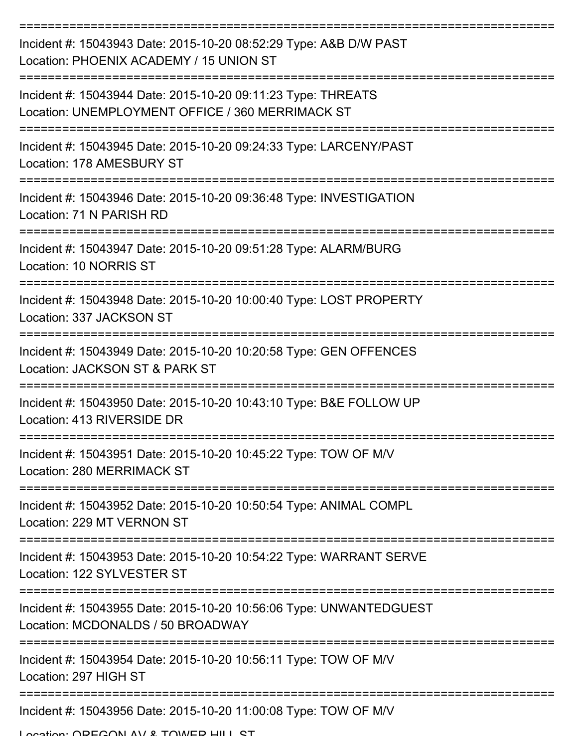| Incident #: 15043943 Date: 2015-10-20 08:52:29 Type: A&B D/W PAST<br>Location: PHOENIX ACADEMY / 15 UNION ST     |
|------------------------------------------------------------------------------------------------------------------|
| Incident #: 15043944 Date: 2015-10-20 09:11:23 Type: THREATS<br>Location: UNEMPLOYMENT OFFICE / 360 MERRIMACK ST |
| Incident #: 15043945 Date: 2015-10-20 09:24:33 Type: LARCENY/PAST<br>Location: 178 AMESBURY ST                   |
| Incident #: 15043946 Date: 2015-10-20 09:36:48 Type: INVESTIGATION<br>Location: 71 N PARISH RD                   |
| Incident #: 15043947 Date: 2015-10-20 09:51:28 Type: ALARM/BURG<br>Location: 10 NORRIS ST                        |
| Incident #: 15043948 Date: 2015-10-20 10:00:40 Type: LOST PROPERTY<br>Location: 337 JACKSON ST                   |
| Incident #: 15043949 Date: 2015-10-20 10:20:58 Type: GEN OFFENCES<br>Location: JACKSON ST & PARK ST              |
| Incident #: 15043950 Date: 2015-10-20 10:43:10 Type: B&E FOLLOW UP<br>Location: 413 RIVERSIDE DR                 |
| Incident #: 15043951 Date: 2015-10-20 10:45:22 Type: TOW OF M/V<br>Location: 280 MERRIMACK ST<br>------------    |
| Incident #: 15043952 Date: 2015-10-20 10:50:54 Type: ANIMAL COMPL<br>Location: 229 MT VERNON ST                  |
| Incident #: 15043953 Date: 2015-10-20 10:54:22 Type: WARRANT SERVE<br>Location: 122 SYLVESTER ST                 |
| Incident #: 15043955 Date: 2015-10-20 10:56:06 Type: UNWANTEDGUEST<br>Location: MCDONALDS / 50 BROADWAY          |
| Incident #: 15043954 Date: 2015-10-20 10:56:11 Type: TOW OF M/V<br>Location: 297 HIGH ST                         |
| Incident #: 15043956 Date: 2015-10-20 11:00:08 Type: TOW OF M/V                                                  |

Location: ODECONI AV & TOWED HILL ST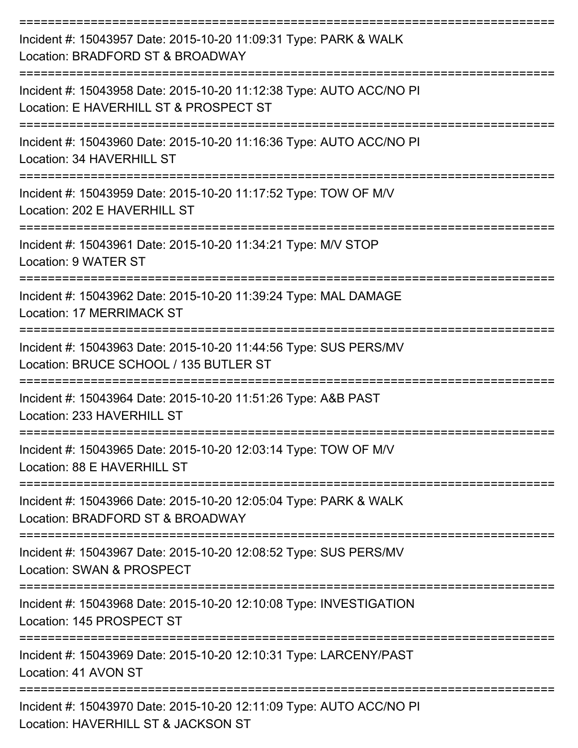| Incident #: 15043957 Date: 2015-10-20 11:09:31 Type: PARK & WALK<br>Location: BRADFORD ST & BROADWAY          |
|---------------------------------------------------------------------------------------------------------------|
| Incident #: 15043958 Date: 2015-10-20 11:12:38 Type: AUTO ACC/NO PI<br>Location: E HAVERHILL ST & PROSPECT ST |
| Incident #: 15043960 Date: 2015-10-20 11:16:36 Type: AUTO ACC/NO PI<br>Location: 34 HAVERHILL ST              |
| Incident #: 15043959 Date: 2015-10-20 11:17:52 Type: TOW OF M/V<br>Location: 202 E HAVERHILL ST               |
| Incident #: 15043961 Date: 2015-10-20 11:34:21 Type: M/V STOP<br>Location: 9 WATER ST                         |
| Incident #: 15043962 Date: 2015-10-20 11:39:24 Type: MAL DAMAGE<br>Location: 17 MERRIMACK ST                  |
| Incident #: 15043963 Date: 2015-10-20 11:44:56 Type: SUS PERS/MV<br>Location: BRUCE SCHOOL / 135 BUTLER ST    |
| Incident #: 15043964 Date: 2015-10-20 11:51:26 Type: A&B PAST<br>Location: 233 HAVERHILL ST                   |
| Incident #: 15043965 Date: 2015-10-20 12:03:14 Type: TOW OF M/V<br>Location: 88 E HAVERHILL ST                |
| Incident #: 15043966 Date: 2015-10-20 12:05:04 Type: PARK & WALK<br>Location: BRADFORD ST & BROADWAY          |
| Incident #: 15043967 Date: 2015-10-20 12:08:52 Type: SUS PERS/MV<br>Location: SWAN & PROSPECT                 |
| Incident #: 15043968 Date: 2015-10-20 12:10:08 Type: INVESTIGATION<br>Location: 145 PROSPECT ST               |
| Incident #: 15043969 Date: 2015-10-20 12:10:31 Type: LARCENY/PAST<br>Location: 41 AVON ST                     |
| Incident #: 15043970 Date: 2015-10-20 12:11:09 Type: AUTO ACC/NO PI<br>Location: HAVERHILL ST & JACKSON ST    |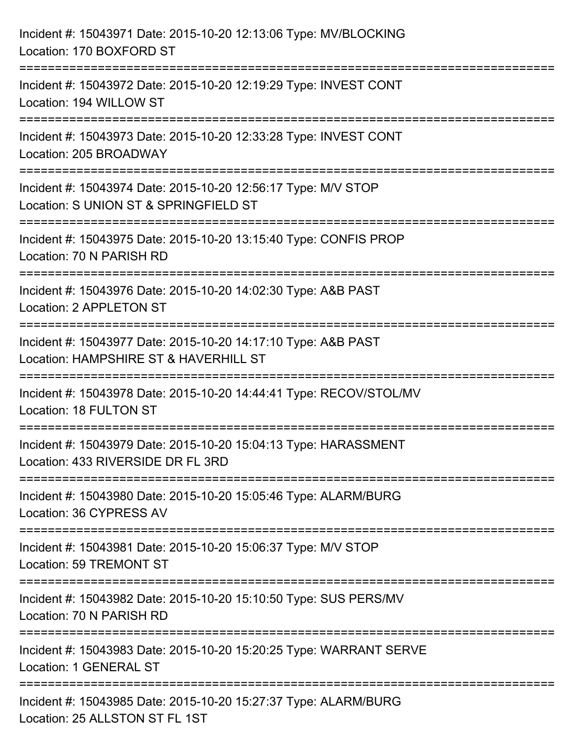| Incident #: 15043971 Date: 2015-10-20 12:13:06 Type: MV/BLOCKING<br>Location: 170 BOXFORD ST                                             |
|------------------------------------------------------------------------------------------------------------------------------------------|
| Incident #: 15043972 Date: 2015-10-20 12:19:29 Type: INVEST CONT<br>Location: 194 WILLOW ST                                              |
| Incident #: 15043973 Date: 2015-10-20 12:33:28 Type: INVEST CONT<br>Location: 205 BROADWAY                                               |
| ==============================<br>Incident #: 15043974 Date: 2015-10-20 12:56:17 Type: M/V STOP<br>Location: S UNION ST & SPRINGFIELD ST |
| Incident #: 15043975 Date: 2015-10-20 13:15:40 Type: CONFIS PROP<br>Location: 70 N PARISH RD                                             |
| Incident #: 15043976 Date: 2015-10-20 14:02:30 Type: A&B PAST<br>Location: 2 APPLETON ST                                                 |
| Incident #: 15043977 Date: 2015-10-20 14:17:10 Type: A&B PAST<br>Location: HAMPSHIRE ST & HAVERHILL ST                                   |
| Incident #: 15043978 Date: 2015-10-20 14:44:41 Type: RECOV/STOL/MV<br>Location: 18 FULTON ST                                             |
| Incident #: 15043979 Date: 2015-10-20 15:04:13 Type: HARASSMENT<br>Location: 433 RIVERSIDE DR FL 3RD                                     |
| Incident #: 15043980 Date: 2015-10-20 15:05:46 Type: ALARM/BURG<br>Location: 36 CYPRESS AV                                               |
| Incident #: 15043981 Date: 2015-10-20 15:06:37 Type: M/V STOP<br>Location: 59 TREMONT ST                                                 |
| Incident #: 15043982 Date: 2015-10-20 15:10:50 Type: SUS PERS/MV<br>Location: 70 N PARISH RD                                             |
| Incident #: 15043983 Date: 2015-10-20 15:20:25 Type: WARRANT SERVE<br>Location: 1 GENERAL ST                                             |
| Incident #: 15043985 Date: 2015-10-20 15:27:37 Type: ALARM/BURG<br>Location: 25 ALLSTON ST FL 1ST                                        |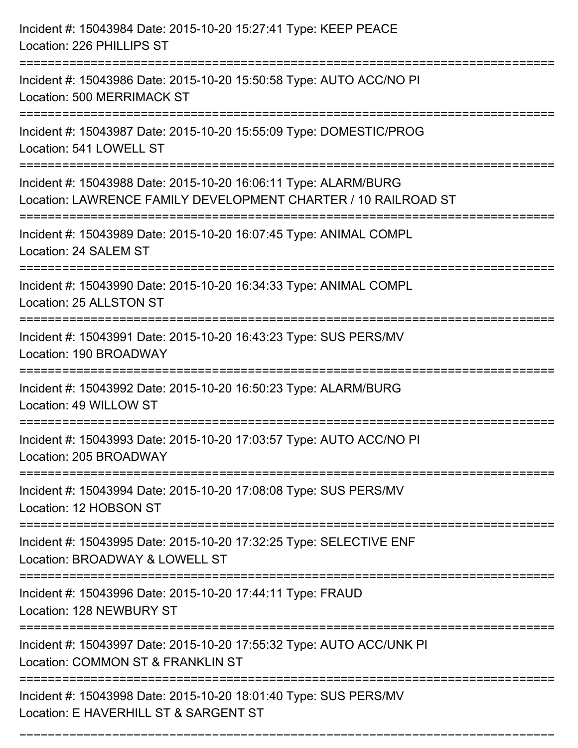| Incident #: 15043984 Date: 2015-10-20 15:27:41 Type: KEEP PEACE<br>Location: 226 PHILLIPS ST                                             |
|------------------------------------------------------------------------------------------------------------------------------------------|
| Incident #: 15043986 Date: 2015-10-20 15:50:58 Type: AUTO ACC/NO PI<br><b>Location: 500 MERRIMACK ST</b>                                 |
| Incident #: 15043987 Date: 2015-10-20 15:55:09 Type: DOMESTIC/PROG<br>Location: 541 LOWELL ST                                            |
| Incident #: 15043988 Date: 2015-10-20 16:06:11 Type: ALARM/BURG<br>Location: LAWRENCE FAMILY DEVELOPMENT CHARTER / 10 RAILROAD ST        |
| Incident #: 15043989 Date: 2015-10-20 16:07:45 Type: ANIMAL COMPL<br>Location: 24 SALEM ST                                               |
| Incident #: 15043990 Date: 2015-10-20 16:34:33 Type: ANIMAL COMPL<br>Location: 25 ALLSTON ST                                             |
| Incident #: 15043991 Date: 2015-10-20 16:43:23 Type: SUS PERS/MV<br>Location: 190 BROADWAY                                               |
| Incident #: 15043992 Date: 2015-10-20 16:50:23 Type: ALARM/BURG<br>Location: 49 WILLOW ST                                                |
| Incident #: 15043993 Date: 2015-10-20 17:03:57 Type: AUTO ACC/NO PI<br>Location: 205 BROADWAY                                            |
| Incident #: 15043994 Date: 2015-10-20 17:08:08 Type: SUS PERS/MV<br>Location: 12 HOBSON ST                                               |
| Incident #: 15043995 Date: 2015-10-20 17:32:25 Type: SELECTIVE ENF<br>Location: BROADWAY & LOWELL ST                                     |
| Incident #: 15043996 Date: 2015-10-20 17:44:11 Type: FRAUD<br>Location: 128 NEWBURY ST                                                   |
| Incident #: 15043997 Date: 2015-10-20 17:55:32 Type: AUTO ACC/UNK PI<br>Location: COMMON ST & FRANKLIN ST<br>--------------------------- |
| Incident #: 15043998 Date: 2015-10-20 18:01:40 Type: SUS PERS/MV<br>Location: E HAVERHILL ST & SARGENT ST                                |

===========================================================================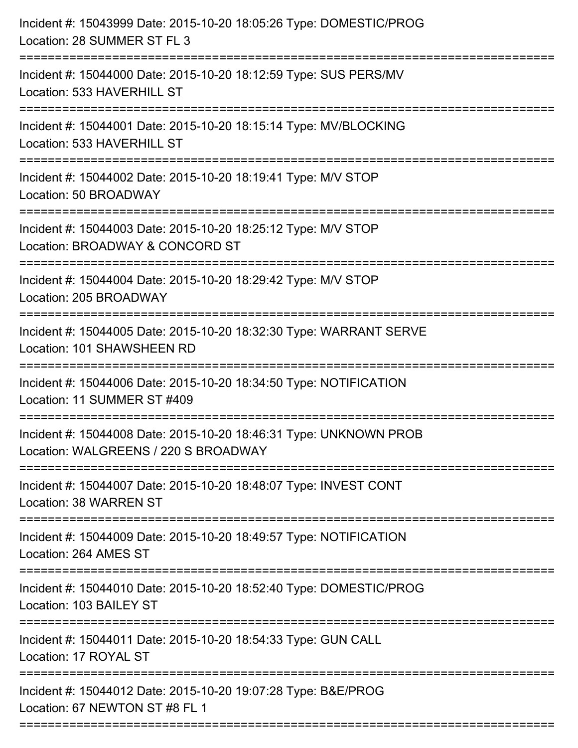| Incident #: 15043999 Date: 2015-10-20 18:05:26 Type: DOMESTIC/PROG<br>Location: 28 SUMMER ST FL 3<br>========================= |
|--------------------------------------------------------------------------------------------------------------------------------|
| Incident #: 15044000 Date: 2015-10-20 18:12:59 Type: SUS PERS/MV<br>Location: 533 HAVERHILL ST                                 |
| Incident #: 15044001 Date: 2015-10-20 18:15:14 Type: MV/BLOCKING<br>Location: 533 HAVERHILL ST                                 |
| Incident #: 15044002 Date: 2015-10-20 18:19:41 Type: M/V STOP<br>Location: 50 BROADWAY                                         |
| Incident #: 15044003 Date: 2015-10-20 18:25:12 Type: M/V STOP<br>Location: BROADWAY & CONCORD ST                               |
| Incident #: 15044004 Date: 2015-10-20 18:29:42 Type: M/V STOP<br>Location: 205 BROADWAY                                        |
| Incident #: 15044005 Date: 2015-10-20 18:32:30 Type: WARRANT SERVE<br>Location: 101 SHAWSHEEN RD                               |
| Incident #: 15044006 Date: 2015-10-20 18:34:50 Type: NOTIFICATION<br>Location: 11 SUMMER ST #409                               |
| Incident #: 15044008 Date: 2015-10-20 18:46:31 Type: UNKNOWN PROB<br>Location: WALGREENS / 220 S BROADWAY                      |
| Incident #: 15044007 Date: 2015-10-20 18:48:07 Type: INVEST CONT<br>Location: 38 WARREN ST                                     |
| Incident #: 15044009 Date: 2015-10-20 18:49:57 Type: NOTIFICATION<br>Location: 264 AMES ST                                     |
| Incident #: 15044010 Date: 2015-10-20 18:52:40 Type: DOMESTIC/PROG<br>Location: 103 BAILEY ST                                  |
| Incident #: 15044011 Date: 2015-10-20 18:54:33 Type: GUN CALL<br>Location: 17 ROYAL ST                                         |
| Incident #: 15044012 Date: 2015-10-20 19:07:28 Type: B&E/PROG<br>Location: 67 NEWTON ST #8 FL 1                                |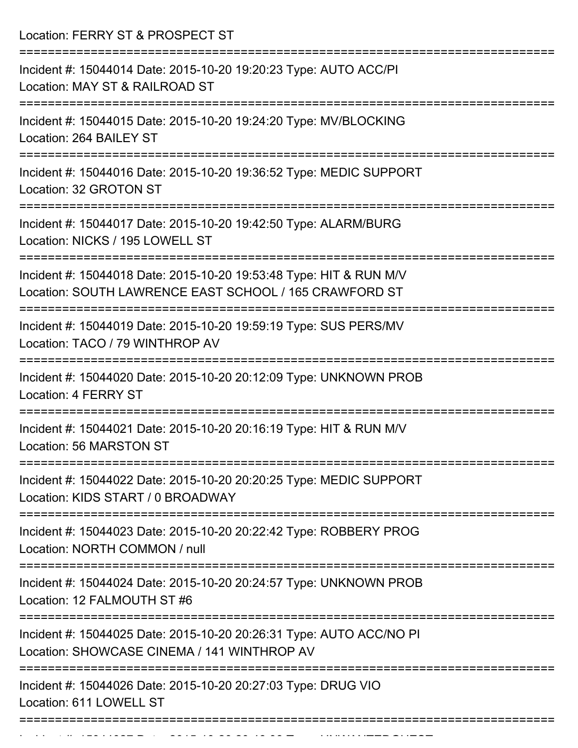Location: FERRY ST & PROSPECT ST =========================================================================== Incident #: 15044014 Date: 2015-10-20 19:20:23 Type: AUTO ACC/PI Location: MAY ST & RAILROAD ST =========================================================================== Incident #: 15044015 Date: 2015-10-20 19:24:20 Type: MV/BLOCKING Location: 264 BAILEY ST =========================================================================== Incident #: 15044016 Date: 2015-10-20 19:36:52 Type: MEDIC SUPPORT Location: 32 GROTON ST =========================================================================== Incident #: 15044017 Date: 2015-10-20 19:42:50 Type: ALARM/BURG Location: NICKS / 195 LOWELL ST =========================================================================== Incident #: 15044018 Date: 2015-10-20 19:53:48 Type: HIT & RUN M/V Location: SOUTH LAWRENCE EAST SCHOOL / 165 CRAWFORD ST =========================================================================== Incident #: 15044019 Date: 2015-10-20 19:59:19 Type: SUS PERS/MV Location: TACO / 79 WINTHROP AV =========================================================================== Incident #: 15044020 Date: 2015-10-20 20:12:09 Type: UNKNOWN PROB Location: 4 FERRY ST =========================================================================== Incident #: 15044021 Date: 2015-10-20 20:16:19 Type: HIT & RUN M/V Location: 56 MARSTON ST =========================================================================== Incident #: 15044022 Date: 2015-10-20 20:20:25 Type: MEDIC SUPPORT Location: KIDS START / 0 BROADWAY =========================================================================== Incident #: 15044023 Date: 2015-10-20 20:22:42 Type: ROBBERY PROG Location: NORTH COMMON / null =========================================================================== Incident #: 15044024 Date: 2015-10-20 20:24:57 Type: UNKNOWN PROB Location: 12 FALMOUTH ST #6 =========================================================================== Incident #: 15044025 Date: 2015-10-20 20:26:31 Type: AUTO ACC/NO PI Location: SHOWCASE CINEMA / 141 WINTHROP AV =========================================================================== Incident #: 15044026 Date: 2015-10-20 20:27:03 Type: DRUG VIO Location: 611 LOWELL ST ===========================================================================

Incident #: 15044027 Date: 2015 10 2020 10 2020 Type: UNWANTEDGUEST #: 1504<br>.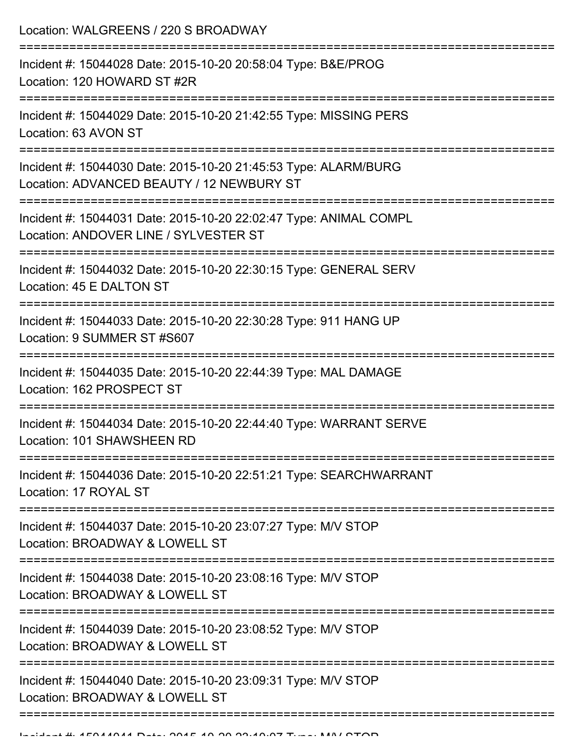Location: WALGREENS / 220 S BROADWAY

| Incident #: 15044028 Date: 2015-10-20 20:58:04 Type: B&E/PROG<br>Location: 120 HOWARD ST #2R                        |
|---------------------------------------------------------------------------------------------------------------------|
| Incident #: 15044029 Date: 2015-10-20 21:42:55 Type: MISSING PERS<br>Location: 63 AVON ST                           |
| Incident #: 15044030 Date: 2015-10-20 21:45:53 Type: ALARM/BURG<br>Location: ADVANCED BEAUTY / 12 NEWBURY ST        |
| Incident #: 15044031 Date: 2015-10-20 22:02:47 Type: ANIMAL COMPL<br>Location: ANDOVER LINE / SYLVESTER ST          |
| Incident #: 15044032 Date: 2015-10-20 22:30:15 Type: GENERAL SERV<br>Location: 45 E DALTON ST                       |
| Incident #: 15044033 Date: 2015-10-20 22:30:28 Type: 911 HANG UP<br>Location: 9 SUMMER ST #S607                     |
| Incident #: 15044035 Date: 2015-10-20 22:44:39 Type: MAL DAMAGE<br>Location: 162 PROSPECT ST                        |
| Incident #: 15044034 Date: 2015-10-20 22:44:40 Type: WARRANT SERVE<br>Location: 101 SHAWSHEEN RD                    |
| Incident #: 15044036 Date: 2015-10-20 22:51:21 Type: SEARCHWARRANT<br>Location: 17 ROYAL ST                         |
| ----------------<br>Incident #: 15044037 Date: 2015-10-20 23:07:27 Type: M/V STOP<br>Location: BROADWAY & LOWELL ST |
| Incident #: 15044038 Date: 2015-10-20 23:08:16 Type: M/V STOP<br>Location: BROADWAY & LOWELL ST                     |
| Incident #: 15044039 Date: 2015-10-20 23:08:52 Type: M/V STOP<br>Location: BROADWAY & LOWELL ST                     |
| Incident #: 15044040 Date: 2015-10-20 23:09:31 Type: M/V STOP<br>Location: BROADWAY & LOWELL ST                     |
|                                                                                                                     |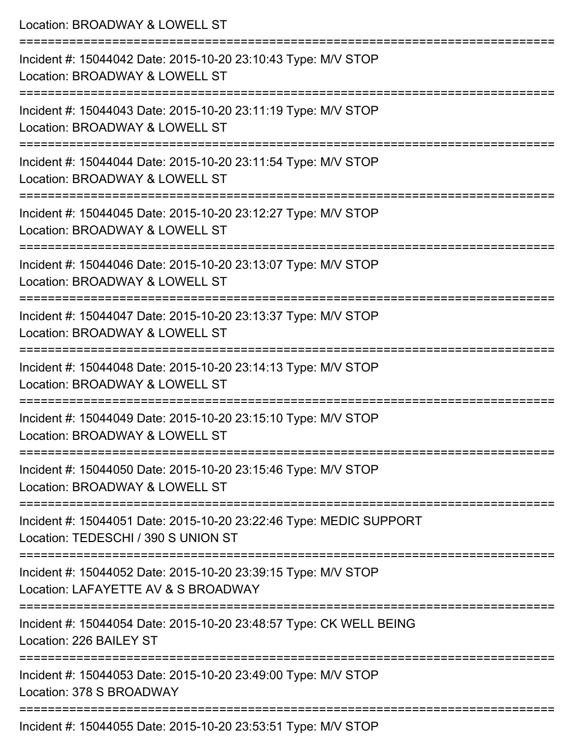| Location: BROADWAY & LOWELL ST                                                                                                       |
|--------------------------------------------------------------------------------------------------------------------------------------|
| Incident #: 15044042 Date: 2015-10-20 23:10:43 Type: M/V STOP<br>Location: BROADWAY & LOWELL ST<br>:=========================        |
| Incident #: 15044043 Date: 2015-10-20 23:11:19 Type: M/V STOP<br>Location: BROADWAY & LOWELL ST                                      |
| Incident #: 15044044 Date: 2015-10-20 23:11:54 Type: M/V STOP<br>Location: BROADWAY & LOWELL ST<br>:================================ |
| Incident #: 15044045 Date: 2015-10-20 23:12:27 Type: M/V STOP<br>Location: BROADWAY & LOWELL ST                                      |
| Incident #: 15044046 Date: 2015-10-20 23:13:07 Type: M/V STOP<br>Location: BROADWAY & LOWELL ST                                      |
| =================<br>Incident #: 15044047 Date: 2015-10-20 23:13:37 Type: M/V STOP<br>Location: BROADWAY & LOWELL ST                 |
| Incident #: 15044048 Date: 2015-10-20 23:14:13 Type: M/V STOP<br>Location: BROADWAY & LOWELL ST                                      |
| Incident #: 15044049 Date: 2015-10-20 23:15:10 Type: M/V STOP<br>Location: BROADWAY & LOWELL ST                                      |
| Incident #: 15044050 Date: 2015-10-20 23:15:46 Type: M/V STOP<br>Location: BROADWAY & LOWELL ST                                      |
| Incident #: 15044051 Date: 2015-10-20 23:22:46 Type: MEDIC SUPPORT<br>Location: TEDESCHI / 390 S UNION ST                            |
| Incident #: 15044052 Date: 2015-10-20 23:39:15 Type: M/V STOP<br>Location: LAFAYETTE AV & S BROADWAY                                 |
| Incident #: 15044054 Date: 2015-10-20 23:48:57 Type: CK WELL BEING<br>Location: 226 BAILEY ST                                        |
| Incident #: 15044053 Date: 2015-10-20 23:49:00 Type: M/V STOP<br>Location: 378 S BROADWAY                                            |
| Incident #: 15044055 Date: 2015-10-20 23:53:51 Type: M/V STOP                                                                        |